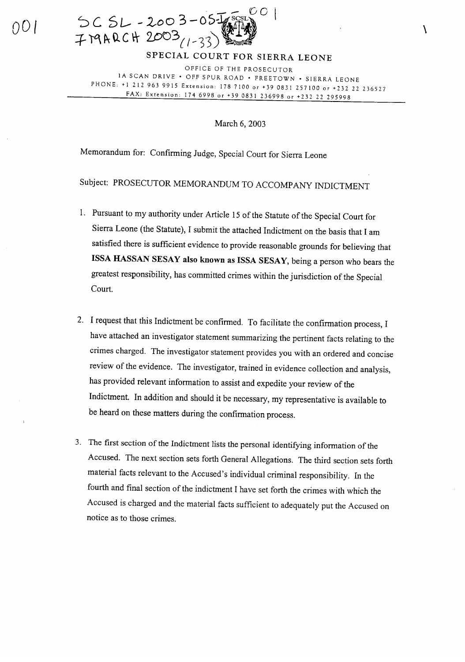

SPECIAL COURT FOR SIERRA LEONE

\

OFFICE OF THE PROSECUTOR IA SCAN DRIVE· OFF SPUR ROAD· FREETOWN· SIERRA LEONE PHONE: + I 212 963 9915 Extension: 178 7100 or +39 0831 257100 or +232 22 236527 FAX: Extension: 174 6998 or +39 0831 236998 or +232 22 295998

March 6, 2003

Memorandum for: Confirming Judge, Special Court for Sierra Leone

Subject: PROSECUTOR MEMORANDUM TO ACCOMPANY INDICTMENT

- 1. Pursuant to my authority under Article 15 of the Statute of the Special Court for Sierra Leone (the Statute), I submit the attached Indictment on the basis that I am satisfied there is sufficient evidence to provide reasonable grounds for believing that ISSA HASSAN SESAY also known as ISSA SESAY, being a person who bears the greatest responsibility, has committed crimes within the jurisdiction of the Special Court.
- 2. I request that this Indictment be confirmed. To facilitate the confirmation process, I have attached an investigator statement summarizing the pertinent facts relating to the crimes charged. The investigator statement provides you with an ordered and concise review of the evidence. The investigator, trained in evidence collection and analysis, has provided relevant information to assist and expedite your review of the Indictment. In addition and should it be necessary, my representative is available to be heard on these matters during the confirmation process.
- 3. The first section of the Indictment lists the personal identifying information of the Accused. The next section sets forth General Allegations. The third section sets forth material facts relevant to the Accused's individual criminal responsibility. In the fourth and final section of the indictment I have set forth the crimes with which the Accused is charged and the material facts sufficient to adequately put the Accused on notice as to those crimes.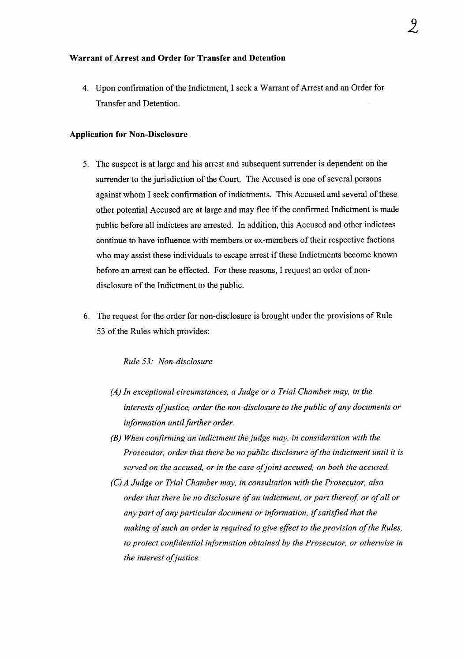#### **Warrant of Arrest and Order for Transfer and Detention**

4. Upon continnation ofthe Indictment, I seek a Warrant of Arrest and an Order for Transfer and Detention.

#### **Application for Non-Disclosure**

- 5. The suspect is at large and his arrest and subsequent surrender is dependent on the surrender to the jurisdiction of the Court. The Accused is one of several persons against whom I seek confirmation of indictments. This Accused and several of these other potential Accused are at large and may flee if the confirmed Indictment is made public before all indictees are arrested. In addition, this Accused and other indictees continue to have influence with members or ex-members of their respective factions who may assist these individuals to escape arrest if these Indictments become known before an arrest can be effected. For these reasons, I request an order of nondisclosure of the Indictment to the public.
- 6. The request for the order for non-disclosure is brought under the provisions of Rule 53 of the Rules which provides:

#### *Rule* 53: *Non-disclosure*

- *(A) In exceptional circumstances, a Judge or a Trial Chamber may, in the interests ofjustice, order the non-disclosure to the public ofany documents or information until further order.*
- *(B) When confirming an indictment thejudge may, in consideration with the Prosecutor, order that there be no public disclosure ofthe indictment until it is served on the accused, or in the case ofjoint accused, on both the accused.*
- *(C) A Judge or Trial Chamber may, in consultation with the Prosecutor, also order that there be no disclosure ofan indictment, or part thereof, or ofall or any part ofany particular document or information, ifsatisfied that the making ofsuch an order is required to give effect to the provision ofthe Rules, to protect confidential information obtained by the Prosecutor, or otherwise in the interest of justice.*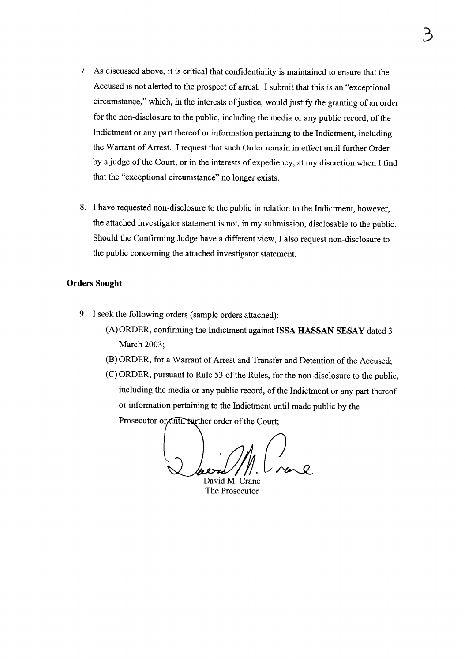- 7. As discussed above, it is critical that confidentiality is maintained to ensure that the Accused is not alerted to the prospect of arrest. I submit that this is an "exceptional circumstance," which, in the interests of justice, would justify the granting of an order for the non-disclosure to the public, including the media or any public record, of the Indictment or any part thereof or information pertaining to the Indictment, including the Warrant of Arrest. I request that such Order remain in effect until further Order by a judge of the Court, or in the interests of expediency, at my discretion when I find that the "exceptional circumstance" no longer exists.
- 8. I have requested non-disclosure to the public in relation to the Indictment, however, the attached investigator statement is not, in my submission, disclosable to the public. Should the Confirming Judge have a different view, I also request non-disclosure to the public concerning the attached investigator statement.

#### Orders Sought

- 9. I seek the following orders (sample orders attached):
	- (A) ORDER, confirming the Indictment against ISSA HASSAN SESAY dated 3 March 2003;
	- (B) ORDER, for a Warrant of Arrest and Transfer and Detention of the Accused;
	- (C) ORDER, pursuant to Rule 53 of the Rules, for the non-disclosure to the public, including the media or any public record, of the Indictment or any part thereof or information pertaining to the Indictment until made public by the Prosecutor or antil Surther order of the Court:

David M. Crane

The Prosecutor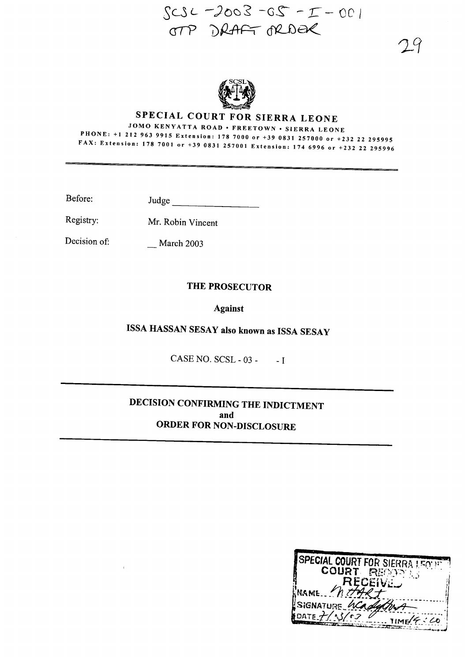



# SPECIAL COURT FOR SIERRA LEONE

JOMO KENYATTA ROAD· FREETOWN· SIERRA LEONE PHONE: +1212 <sup>963</sup> <sup>9915</sup> Extension: <sup>178</sup> <sup>7000</sup> or +390831257000 or +232 <sup>22</sup> <sup>295995</sup> FAX: Extension: <sup>178</sup> <sup>7001</sup> or +39 <sup>0831257001</sup> Extension: <sup>1746996</sup> or +232 <sup>22</sup> <sup>295996</sup>

Before: Judge

Registry: Mr. Robin Vincent

Decision of: \_\_ March 2003

#### THE PROSECUTOR

#### Against

ISSA HASSAN SESAY also known as ISSA SESA<sup>Y</sup>

CASE NO. SCSL - 03 - - I

### DECISION CONFIRMING THE INDICTMENT and ORDER FOR NON-DISCLOSURE

| SPECIAL COURT FOR SIERRA LEONED |
|---------------------------------|
| COURT RECODES                   |
| <b>RECEIVEL</b>                 |
| NAME https                      |
|                                 |
| SIGNATURE WCadyChia             |
| DATE $7/93/626$                 |
| 11ME/6.40                       |
|                                 |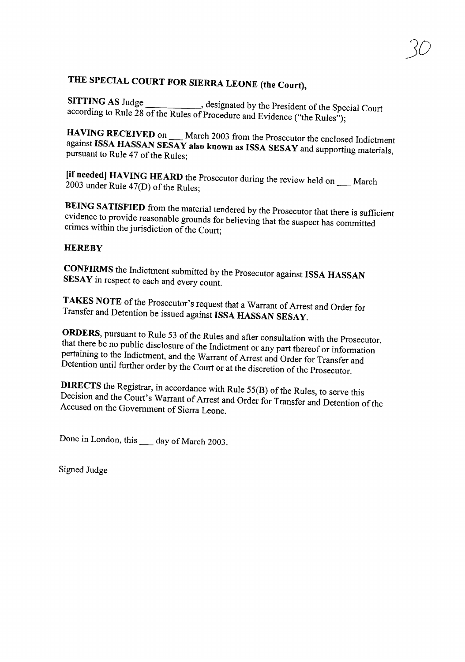# THE SPECIAL COURT FOR SIERRA LEONE (the Court),

SITTING AS Judge \_\_\_\_\_\_\_\_\_\_, designated by the President of the Special Court according to Rule 28 of the Rules of Procedure and Evidence ("the Rules");

HAVING RECEIVED on \_\_\_ March 2003 from the Prosecutor the enclosed Indictment against ISSA HASSAN SESAY also known as ISSA SESAY and supporting materials, pursuant to Rule 47 of the Rules;

[II needed] HAVING HEARD the Prosecutor during the review held on March 2003 under Rule 47(D) of the Rules;

BEING SATISFIED from the material tendered by the Prosecutor that there is sufficient evidence to provide reasonable grounds for believing that the suspect has committed crimes within the jurisdiction of the Court;

#### **HEREBY**

CONFIRMS the Indictment submitted by the Prosecutor against ISSA HASSAN SESAY in respect to each and every count.

TAKES NOTE of the Prosecutor's request that a Warrant of Arrest and Order for Transfer and Detention be issued against ISSA HASSAN SESAY.

ORDERS, pursuant to Rule 53 of the Rules and after consultation with the Prosecutor, that there be no public disclosure of the Indictment or any part thereof or information pertaining to the Indictment, and the Warrant of Arrest and Order for Transfer and Detention until further order by the Court or at the discretion of the Prosecutor.

DIRECTS the Registrar, in accordance with Rule 55(B) of the Rules, to serve this Decision and the Court's Warrant of Arrest and Order for Transfer and Detention of the Accused on the Government of Sierra Leone.

Done in London, this \_\_ day of March 2003.

Signed Judge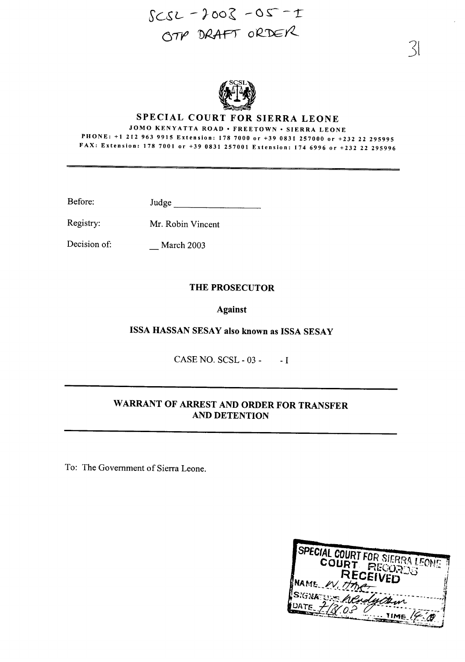# $SCSL-2002-05-1$ OTP DRAFT ORDER



#### SPECIAL COURT FOR SIERRA LEONE

JOMO KENYATTA ROAD· FREETOWN· SIERRA LEONE PHONE: +1 212 963 9915 Extension: 178 7000 or +39 0831 257000 or +232 22 295995 FAX: Extension: 178 7001 or +39 0831257001 Extension: 174 6996 or +232 22 295996

Before: Judge \_

March 2003

Registry: Mr. Robin Vincent

Decision of:

## Against

THE PROSECUTOR

ISSA HASSAN SESAY also known as ISSA SESAY

CASE NO. SCSL - 03 - - I

#### WARRANT OF ARREST AND ORDER FOR TRANSFER AND DETENTION

To: The Government of Sierra Leone.

| SPECIAL COURT FOR SIERRA LEONE        |
|---------------------------------------|
| COURT PECORDS                         |
|                                       |
| <b>RECEIVED</b>                       |
| NAME W. Hmer                          |
|                                       |
| SIGNATUR Wenderstein                  |
| $40$ ATE <sub><math>\chi</math></sub> |
|                                       |
|                                       |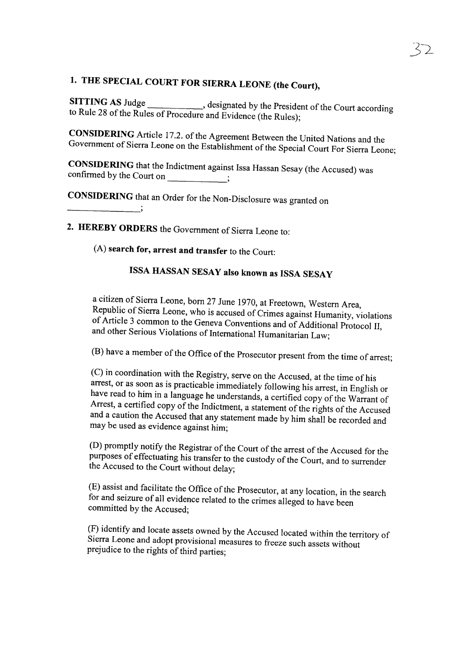# 1. THE SPECIAL COURT FOR SIERRA LEONE (the Court),

SITTING AS Judge \_\_\_\_\_\_\_\_\_, designated by the President of the Court according to Rule 28 of the Rules of Procedure and Evidence (the Rules);

CONSIDERING Article 17.2. of the Agreement Between the United Nations and the Government of Sierra Leone on the Establishment of the Special Court For Sierra Leone;

CONSIDERING that the Indictment against Issa Hassan Sesay (the Accused) was confirmed by the Court on \_

CONSIDERING that an Order for the Non-Disclosure was granted on

2. HEREBY ORDERS the Government of Sierra Leone to:

(A) search for, arrest and transfer to the Court:

# ISSA HASSAN SESAY also known as ISSA SESAY

<sup>a</sup> citizen of Sierra Leone, born <sup>27</sup> June 1970, at Freetown, Western Area, Republic of Sierra Leone, who is accused of Crimes against Humanity, violations of Article 3 common to the Geneva Conventions and of Additional Protocol II, and other Serious Violations of International Humanitarian Law;

(B) have a member of the Office of the Prosecutor present from the time of arrest;

(C) in coordination with the Registry, serve on the Accused, at the time of his arrest, or as soon as is practicable immediately following his arrest, in English or have read to him in a language he understands, a certified copy of the Warrant of Arrest, a certified copy of the Indictment, a statement of the rights of the Accused and <sup>a</sup> caution the Accused that any statement made by him shall be recorded and may be used as evidence against him;

(D) promptly notify the Registrar of the Court of the arrest of the Accused for the purposes of effectuating his transfer to the custody of the Court, and to surrender the Accused to the Court without delay;

(E) assist and facilitate the Office of the Prosecutor, at any location, in the search for and seizure of all evidence related to the crimes alleged to have been committed by the Accused;

(F) identify and locate assets owned by the Accused located within the territory of Sierra Leone and adopt provisional measures to freeze such assets without prejudice to the rights of third parties;